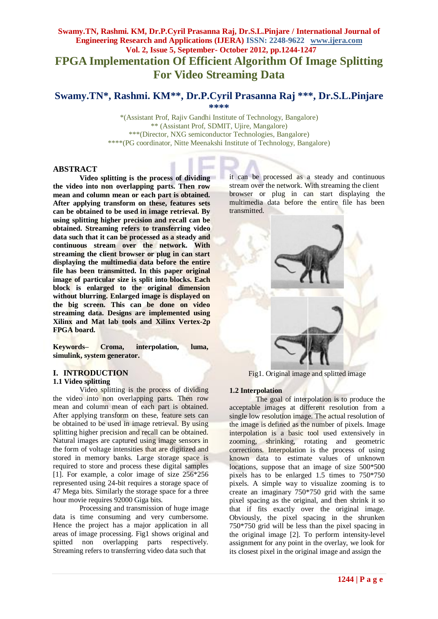# **Swamy.TN, Rashmi. KM, Dr.P.Cyril Prasanna Raj, Dr.S.L.Pinjare / International Journal of Engineering Research and Applications (IJERA) ISSN: 2248-9622 www.ijera.com Vol. 2, Issue 5, September- October 2012, pp.1244-1247 FPGA Implementation Of Efficient Algorithm Of Image Splitting For Video Streaming Data**

# **Swamy.TN\*, Rashmi. KM\*\*, Dr.P.Cyril Prasanna Raj \*\*\* , Dr.S.L.Pinjare \*\*\*\***

\*(Assistant Prof, Rajiv Gandhi Institute of Technology, Bangalore) \*\* (Assistant Prof, SDMIT, Ujire, Mangalore) \*\*\*(Director, NXG semiconductor Technologies, Bangalore) \*\*\*\*(PG coordinator, Nitte Meenakshi Institute of Technology, Bangalore)

### **ABSTRACT**

**Video splitting is the process of dividing the video into non overlapping parts. Then row mean and column mean or each part is obtained. After applying transform on these, features sets can be obtained to be used in image retrieval. By using splitting higher precision and recall can be obtained. Streaming refers to transferring video data such that it can be processed as a steady and continuous stream over the network. With streaming the client browser or plug in can start displaying the multimedia data before the entire file has been transmitted. In this paper original image of particular size is split into blocks. Each block is enlarged to the original dimension without blurring. Enlarged image is displayed on the big screen. This can be done on video streaming data. Designs are implemented using Xilinx and Mat lab tools and Xilinx Vertex-2p FPGA board.**

**Keywords– Croma, interpolation, luma, simulink, system generator.**

# **I. INTRODUCTION**

### **1.1 Video splitting**

Video splitting is the process of dividing the video into non overlapping parts. Then row mean and column mean of each part is obtained. After applying transform on these, feature sets can be obtained to be used in image retrieval. By using splitting higher precision and recall can be obtained. Natural images are captured using image sensors in the form of voltage intensities that are digitized and stored in memory banks. Large storage space is required to store and process these digital samples [1]. For example, a color image of size 256\*256 represented using 24-bit requires a storage space of 47 Mega bits. Similarly the storage space for a three hour movie requires 92000 Giga bits.

Processing and transmission of huge image data is time consuming and very cumbersome. Hence the project has a major application in all areas of image processing. Fig1 shows original and spitted non overlapping parts respectively. Streaming refers to transferring video data such that

it can be processed as a steady and continuous stream over the network. With streaming the client browser or plug in can start displaying the multimedia data before the entire file has been transmitted.



Fig1. Original image and splitted image

### **1.2 Interpolation**

The goal of interpolation is to produce the acceptable images at different resolution from a single low resolution image. The actual resolution of the image is defined as the number of pixels. Image interpolation is a basic tool used extensively in zooming, shrinking, rotating and geometric corrections. Interpolation is the process of using known data to estimate values of unknown locations, suppose that an image of size 500\*500 pixels has to be enlarged 1.5 times to 750\*750 pixels. A simple way to visualize zooming is to create an imaginary 750\*750 grid with the same pixel spacing as the original, and then shrink it so that if fits exactly over the original image. Obviously, the pixel spacing in the shrunken 750\*750 grid will be less than the pixel spacing in the original image [2]. To perform intensity-level assignment for any point in the overlay, we look for its closest pixel in the original image and assign the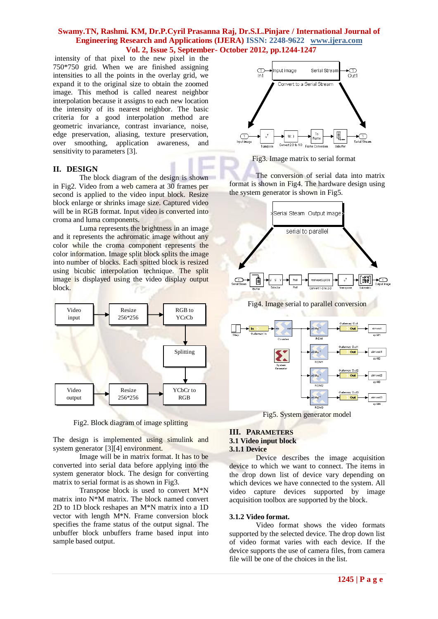### **Swamy.TN, Rashmi. KM, Dr.P.Cyril Prasanna Raj, Dr.S.L.Pinjare / International Journal of Engineering Research and Applications (IJERA) ISSN: 2248-9622 www.ijera.com Vol. 2, Issue 5, September- October 2012, pp.1244-1247**

intensity of that pixel to the new pixel in the 750\*750 grid. When we are finished assigning intensities to all the points in the overlay grid, we expand it to the original size to obtain the zoomed image. This method is called nearest neighbor interpolation because it assigns to each new location the intensity of its nearest neighbor. The basic criteria for a good interpolation method are geometric invariance, contrast invariance, noise, edge preservation, aliasing, texture preservation, over smoothing, application awareness, and sensitivity to parameters [3].

### **II. DESIGN**

The block diagram of the design is shown in Fig2. Video from a web camera at 30 frames per second is applied to the video input block. Resize block enlarge or shrinks image size. Captured video will be in RGB format. Input video is converted into croma and luma components.

Luma represents the brightness in an image and it represents the achromatic image without any color while the croma component represents the color information. Image split block splits the image into number of blocks. Each spitted block is resized using bicubic interpolation technique. The split image is displayed using the video display output block.



Fig2. Block diagram of image splitting

The design is implemented using simulink and system generator [3][4] environment.

Image will be in matrix format. It has to be converted into serial data before applying into the system generator block. The design for converting matrix to serial format is as shown in Fig3.

Transpose block is used to convert M\*N matrix into N\*M matrix. The block named convert 2D to 1D block reshapes an M\*N matrix into a 1D vector with length M\*N. Frame conversion block specifies the frame status of the output signal. The unbuffer block unbuffers frame based input into sample based output.



Fig3. Image matrix to serial format

The conversion of serial data into matrix format is shown in Fig4. The hardware design using the system generator is shown in Fig5.





Fig5. System generator model

#### **III. PARAMETERS 3.1 Video input block 3.1.1 Device**

Device describes the image acquisition device to which we want to connect. The items in the drop down list of device vary depending on which devices we have connected to the system. All video capture devices supported by image acquisition toolbox are supported by the block.

### **3.1.2 Video format.**

Video format shows the video formats supported by the selected device. The drop down list of video format varies with each device. If the device supports the use of camera files, from camera file will be one of the choices in the list.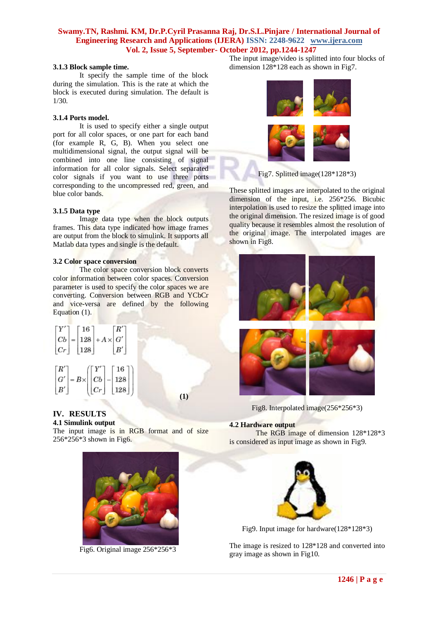# **Swamy.TN, Rashmi. KM, Dr.P.Cyril Prasanna Raj, Dr.S.L.Pinjare / International Journal of Engineering Research and Applications (IJERA) ISSN: 2248-9622 www.ijera.com Vol. 2, Issue 5, September- October 2012, pp.1244-1247**

#### **3.1.3 Block sample time.**

It specify the sample time of the block during the simulation. This is the rate at which the block is executed during simulation. The default is 1/30.

### **3.1.4 Ports model.**

It is used to specify either a single output port for all color spaces, or one part for each band (for example R, G, B). When you select one multidimensional signal, the output signal will be combined into one line consisting of signal information for all color signals. Select separated color signals if you want to use three ports corresponding to the uncompressed red, green, and blue color bands.

### **3.1.5 Data type**

Image data type when the block outputs frames. This data type indicated how image frames are output from the block to simulink. It supports all Matlab data types and single is the default.

### **3.2 Color space conversion**

The color space conversion block converts color information between color spaces. Conversion parameter is used to specify the color spaces we are converting. Conversion between RGB and YCbCr and vice-versa are defined by the following Equation (1).

$$
\begin{bmatrix} Y' \\ Cb \\ Cr \end{bmatrix} = \begin{bmatrix} 16 \\ 128 \\ 128 \end{bmatrix} + A \times \begin{bmatrix} R' \\ G' \\ B' \end{bmatrix}
$$

$$
\begin{bmatrix} R' \\ G' \\ B' \end{bmatrix} = B \times \begin{bmatrix} Y' \\ Cb \\ Cr \end{bmatrix} - \begin{bmatrix} 16 \\ 128 \\ 128 \end{bmatrix}
$$

**(1)**

#### **IV. RESULTS 4.1 Simulink output**

The input image is in RGB format and of size 256\*256\*3 shown in Fig6.



Fig6. Original image 256\*256\*3

The input image/video is splitted into four blocks of dimension 128\*128 each as shown in Fig7.





Fig7. Splitted image(128\*128\*3)

These splitted images are interpolated to the original dimension of the input, i.e. 256\*256. Bicubic interpolation is used to resize the splitted image into the original dimension. The resized image is of good quality because it resembles almost the resolution of the original image. The interpolated images are shown in Fig8.





Fig8. Interpolated image(256\*256\*3)

### **4.2 Hardware output**

The RGB image of dimension 128\*128\*3 is considered as input image as shown in Fig9.



Fig9. Input image for hardware(128\*128\*3)

The image is resized to 128\*128 and converted into gray image as shown in Fig10.